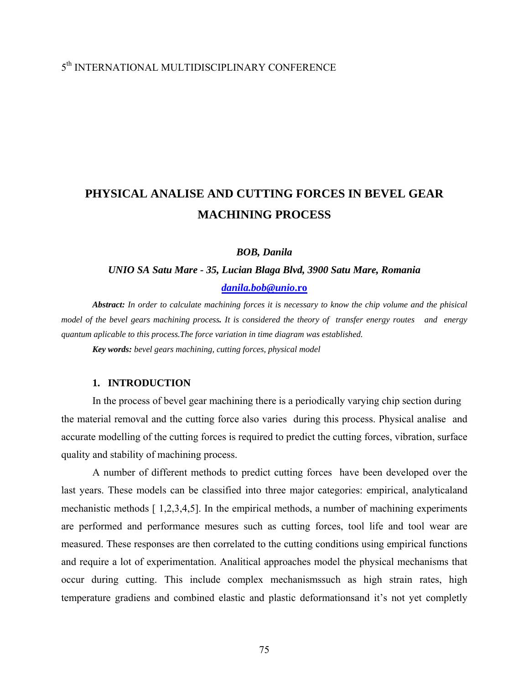## 5th INTERNATIONAL MULTIDISCIPLINARY CONFERENCE

# **PHYSICAL ANALISE AND CUTTING FORCES IN BEVEL GEAR MACHINING PROCESS**

*BOB, Danila* 

# *UNIO SA Satu Mare - 35, Lucian Blaga Blvd, 3900 Satu Mare, Romania [danila.bob@unio](mailto:danila.bob@unio.ro)***.ro**

*Abstract: In order to calculate machining forces it is necessary to know the chip volume and the phisical model of the bevel gears machining process. It is considered the theory of transfer energy routes and energy quantum aplicable to this process.The force variation in time diagram was established.*

*Key words: bevel gears machining, cutting forces, physical model* 

### **1. INTRODUCTION**

In the process of bevel gear machining there is a periodically varying chip section during the material removal and the cutting force also varies during this process. Physical analise and accurate modelling of the cutting forces is required to predict the cutting forces, vibration, surface quality and stability of machining process.

 A number of different methods to predict cutting forces have been developed over the last years. These models can be classified into three major categories: empirical, analyticaland mechanistic methods [ 1,2,3,4,5]. In the empirical methods, a number of machining experiments are performed and performance mesures such as cutting forces, tool life and tool wear are measured. These responses are then correlated to the cutting conditions using empirical functions and require a lot of experimentation. Analitical approaches model the physical mechanisms that occur during cutting. This include complex mechanismssuch as high strain rates, high temperature gradiens and combined elastic and plastic deformationsand it's not yet completly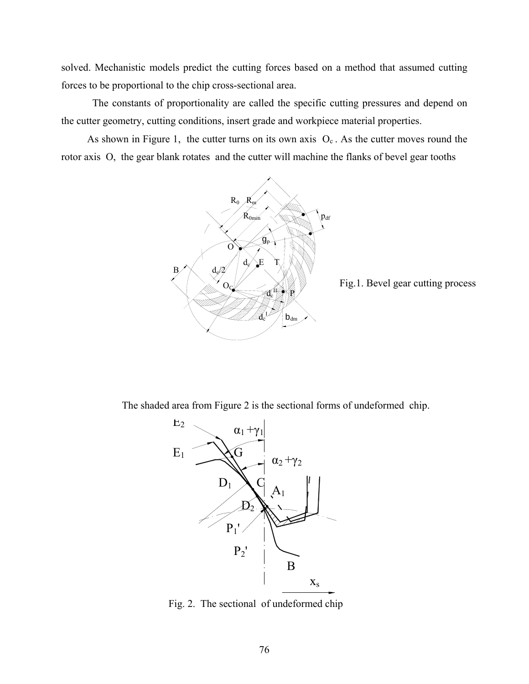solved. Mechanistic models predict the cutting forces based on a method that assumed cutting forces to be proportional to the chip cross-sectional area.

The constants of proportionality are called the specific cutting pressures and depend on the cutter geometry, cutting conditions, insert grade and workpiece material properties.

As shown in Figure 1, the cutter turns on its own axis  $O<sub>c</sub>$ . As the cutter moves round the rotor axis O, the gear blank rotates and the cutter will machine the flanks of bevel gear tooths



Fig.1. Bevel gear cutting process

The shaded area from Figure 2 is the sectional forms of undeformed chip.



Fig. 2. The sectional of undeformed chip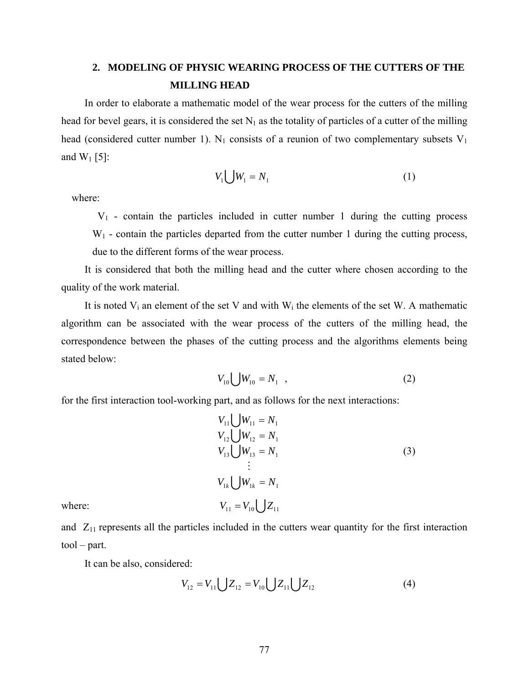## **2. MODELING OF PHYSIC WEARING PROCESS OF THE CUTTERS OF THE MILLING HEAD**

In order to elaborate a mathematic model of the wear process for the cutters of the milling head for bevel gears, it is considered the set  $N_1$  as the totality of particles of a cutter of the milling head (considered cutter number 1).  $N_1$  consists of a reunion of two complementary subsets  $V_1$ and  $W_1$  [5]:

$$
V_1 \bigcup W_1 = N_1 \tag{1}
$$

where:

 $V_1$  - contain the particles included in cutter number 1 during the cutting process  $W_1$  - contain the particles departed from the cutter number 1 during the cutting process,

due to the different forms of the wear process.

 It is considered that both the milling head and the cutter where chosen according to the quality of the work material.

It is noted  $V_i$  an element of the set V and with  $W_i$  the elements of the set W. A mathematic algorithm can be associated with the wear process of the cutters of the milling head, the correspondence between the phases of the cutting process and the algorithms elements being stated below:

$$
V_{10} \bigcup W_{10} = N_1 \quad , \tag{2}
$$

for the first interaction tool-working part, and as follows for the next interactions:

$$
V_{11} \bigcup W_{11} = N_1
$$
  
\n
$$
V_{12} \bigcup W_{12} = N_1
$$
  
\n
$$
V_{13} \bigcup W_{13} = N_1
$$
  
\n
$$
\vdots
$$
  
\n
$$
V_{1k} \bigcup W_{1k} = N_1
$$
  
\nwhere:  
\n
$$
V_{11} = V_{10} \bigcup Z_{11}
$$
 (3)

and  $Z_{11}$  represents all the particles included in the cutters wear quantity for the first interaction tool – part.

It can be also, considered:

$$
V_{12} = V_{11} \bigcup Z_{12} = V_{10} \bigcup Z_{11} \bigcup Z_{12} \tag{4}
$$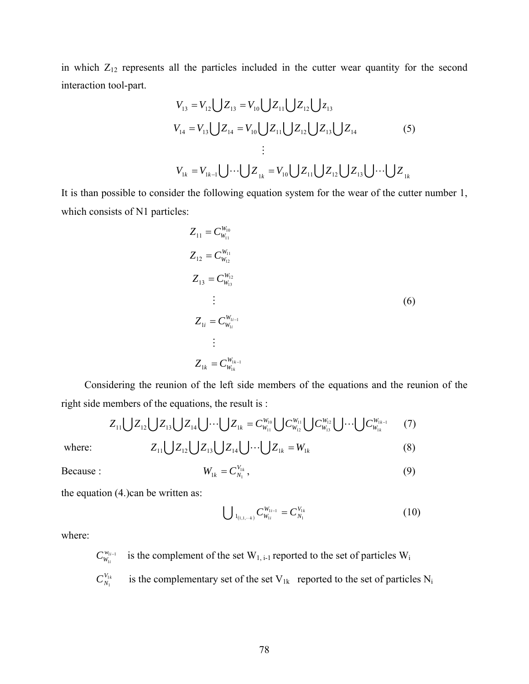in which  $Z_{12}$  represents all the particles included in the cutter wear quantity for the second interaction tool-part.

$$
V_{13} = V_{12} \bigcup Z_{13} = V_{10} \bigcup Z_{11} \bigcup Z_{12} \bigcup Z_{13}
$$
  
\n
$$
V_{14} = V_{13} \bigcup Z_{14} = V_{10} \bigcup Z_{11} \bigcup Z_{12} \bigcup Z_{13} \bigcup Z_{14}
$$
  
\n
$$
\vdots
$$
  
\n
$$
V_{1k} = V_{1k-1} \bigcup \dots \bigcup Z_{1k} = V_{10} \bigcup Z_{11} \bigcup Z_{12} \bigcup Z_{13} \bigcup \dots \bigcup Z_{1k}
$$
  
\n(5)

It is than possible to consider the following equation system for the wear of the cutter number 1, which consists of N1 particles:

$$
Z_{11} = C_{W_{11}}^{W_{10}}
$$
  
\n
$$
Z_{12} = C_{W_{12}}^{W_{11}}
$$
  
\n
$$
Z_{13} = C_{W_{13}}^{W_{12}}
$$
  
\n
$$
\vdots
$$
  
\n
$$
Z_{1i} = C_{W_{1i}}^{W_{1i-1}}
$$
  
\n
$$
\vdots
$$
  
\n
$$
Z_{1k} = C_{W_{1k}}^{W_{1k-1}}
$$
  
\n(6)

 Considering the reunion of the left side members of the equations and the reunion of the right side members of the equations, the result is :

$$
Z_{11} \bigcup Z_{12} \bigcup Z_{13} \bigcup Z_{14} \bigcup \cdots \bigcup Z_{1k} = C_{W_{11}}^{W_{10}} \bigcup C_{W_{12}}^{W_{11}} \bigcup C_{W_{13}}^{W_{12}} \bigcup \cdots \bigcup C_{W_{1k}}^{W_{1k-1}} \qquad (7)
$$

where:  $Z_{11} \bigcup Z_{12} \bigcup Z_{13} \bigcup Z_{14} \bigcup \cdots \bigcup Z_{1k} = W_{1k}$  (8)

Because : 
$$
W_{1k} = C_{N_1}^{V_{1k}}, \qquad (9)
$$

the equation (4.)can be written as:

$$
\bigcup_{1_{(1,1,\cdots k)}} C_{W_{1i}}^{W_{1i-1}} = C_{N_1}^{V_{1k}}
$$
(10)

where:

is the complement of the set  $W_{1, i-1}$  reported to the set of particles  $W_i$ 1 *i*−  $C^{w_{1}}_{W_{1i}}$ 

is the complementary set of the set  $V_{1k}$  reported to the set of particles  $N_i$ 1 1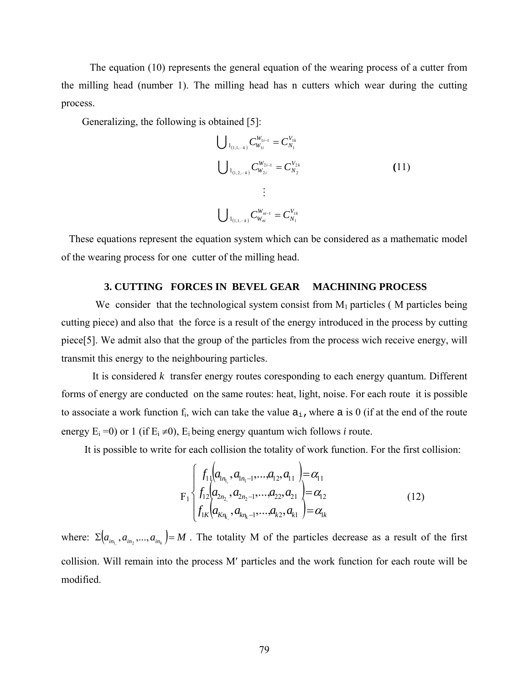The equation (10) represents the general equation of the wearing process of a cutter from the milling head (number 1). The milling head has n cutters which wear during the cutting process.

Generalizing, the following is obtained [5]:

$$
\bigcup_{1_{(1,1,\cdots k)}} C_{W_{1i}}^{W_{1i-1}} = C_{N_1}^{V_{1k}}
$$
\n
$$
\bigcup_{1_{(1,2,\cdots k)}} C_{W_{2i}}^{W_{2i-1}} = C_{N_2}^{V_{2k}}
$$
\n
$$
\vdots
$$
\n
$$
\bigcup_{1_{(1,1,\cdots k)}} C_{W_{ni}}^{W_{ni-1}} = C_{N_1}^{V_{1k}}
$$
\n(11)

 These equations represent the equation system which can be considered as a mathematic model of the wearing process for one cutter of the milling head.

### **3. CUTTING FORCES IN BEVEL GEAR MACHINING PROCESS**

We consider that the technological system consist from  $M_1$  particles ( $M$  particles being cutting piece) and also that the force is a result of the energy introduced in the process by cutting piece[5]. We admit also that the group of the particles from the process wich receive energy, will transmit this energy to the neighbouring particles.

 It is considered *k* transfer energy routes coresponding to each energy quantum. Different forms of energy are conducted on the same routes: heat, light, noise. For each route it is possible to associate a work function  $f_i$ , wich can take the value  $a_i$ , where a is 0 (if at the end of the route energy  $E_i = 0$ ) or 1 (if  $E_i \neq 0$ ),  $E_i$  being energy quantum wich follows *i* route.

It is possible to write for each collision the totality of work function. For the first collision:

$$
F_{1}\begin{cases}f_{11}(a_{1n_{1}},a_{1n_{1}-1},...,a_{12},a_{11})=\alpha_{11}\\f_{12}(a_{2n_{2}},a_{2n_{2}-1},...,a_{22},a_{21})=\alpha_{12}\\f_{1K}(a_{Kn_{k_{1}}},a_{Kn_{k}-1},...,a_{K2},a_{K1})=\alpha_{1k}\end{cases}
$$
(12)

where:  $\Sigma ( a_{i_{n_1}}, a_{i_{n_2}},..., a_{i_{n_k}} ) = M$ . The totality M of the particles decrease as a result of the first collision. Will remain into the process M′ particles and the work function for each route will be modified.